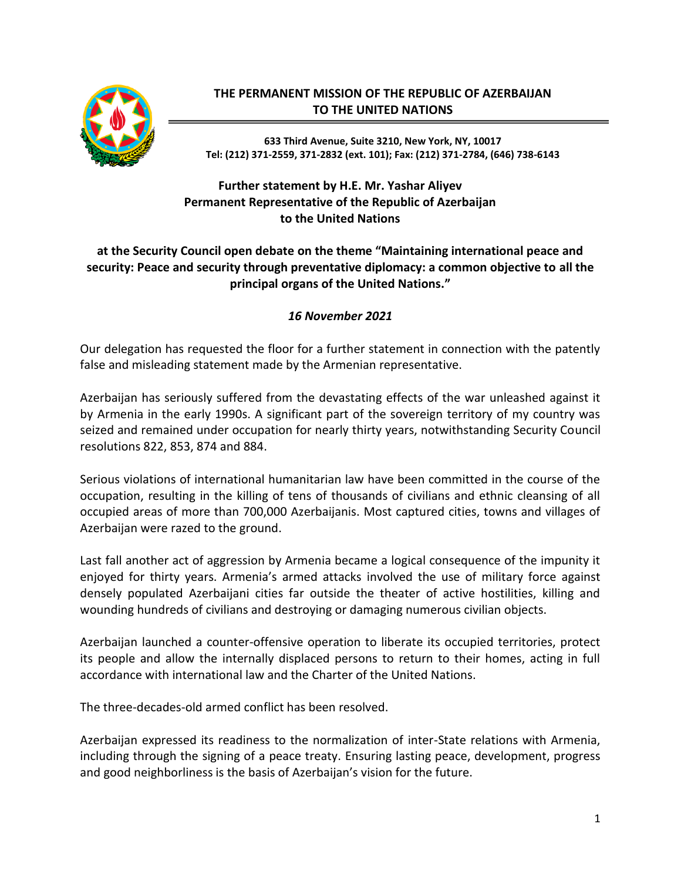

## **THE PERMANENT MISSION OF THE REPUBLIC OF AZERBAIJAN TO THE UNITED NATIONS**

**633 Third Avenue, Suite 3210, New York, NY, 10017 Tel: (212) 371-2559, 371-2832 (ext. 101); Fax: (212) 371-2784, (646) 738-6143**

## **Further statement by H.E. Mr. Yashar Aliyev Permanent Representative of the Republic of Azerbaijan to the United Nations**

## **at the Security Council open debate on the theme "Maintaining international peace and security: Peace and security through preventative diplomacy: a common objective to all the principal organs of the United Nations."**

## *16 November 2021*

Our delegation has requested the floor for a further statement in connection with the patently false and misleading statement made by the Armenian representative.

Azerbaijan has seriously suffered from the devastating effects of the war unleashed against it by Armenia in the early 1990s. A significant part of the sovereign territory of my country was seized and remained under occupation for nearly thirty years, notwithstanding Security Council resolutions 822, 853, 874 and 884.

Serious violations of international humanitarian law have been committed in the course of the occupation, resulting in the killing of tens of thousands of civilians and ethnic cleansing of all occupied areas of more than 700,000 Azerbaijanis. Most captured cities, towns and villages of Azerbaijan were razed to the ground.

Last fall another act of aggression by Armenia became a logical consequence of the impunity it enjoyed for thirty years. Armenia's armed attacks involved the use of military force against densely populated Azerbaijani cities far outside the theater of active hostilities, killing and wounding hundreds of civilians and destroying or damaging numerous civilian objects.

Azerbaijan launched a counter-offensive operation to liberate its occupied territories, protect its people and allow the internally displaced persons to return to their homes, acting in full accordance with international law and the Charter of the United Nations.

The three-decades-old armed conflict has been resolved.

Azerbaijan expressed its readiness to the normalization of inter-State relations with Armenia, including through the signing of a peace treaty. Ensuring lasting peace, development, progress and good neighborliness is the basis of Azerbaijan's vision for the future.